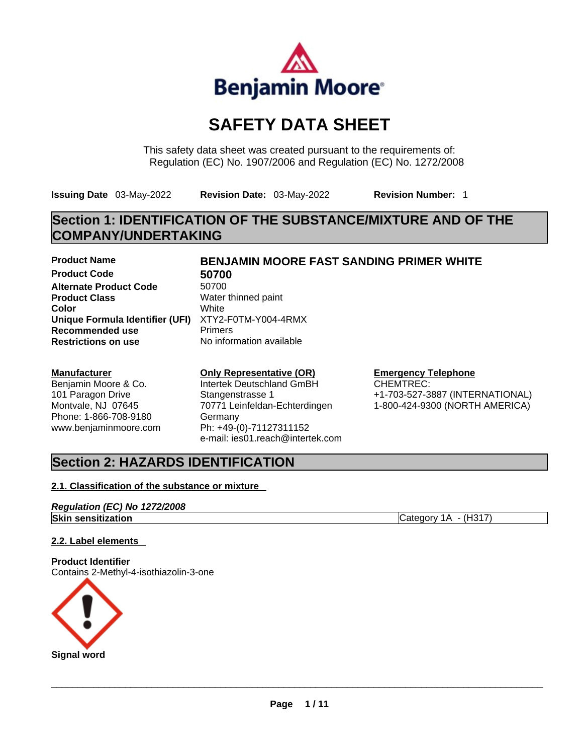

# **SAFETY DATA SHEET**

This safety data sheet was created pursuant to the requirements of: Regulation (EC) No. 1907/2006 and Regulation (EC) No. 1272/2008

**Issuing Date** 03-May-2022 **Revision Date:** 03-May-2022 **Revision Number:** 1

# **Section 1: IDENTIFICATION OF THE SUBSTANCE/MIXTURE AND OF THE COMPANY/UNDERTAKING**

**Product Code 50700**  Alternate Product Code 50700 **Product Class Water thinned paint Color** White **Unique Formula Identifier (UFI)** XTY2-F0TM-Y004-4RMX **Recommended use The Primers<br>
<b>Restrictions on use** No inform

#### **Manufacturer**

Benjamin Moore & Co. 101 Paragon Drive Montvale, NJ 07645 Phone: 1-866-708-9180 www.benjaminmoore.com

# **Product Name BENJAMIN MOORE FAST SANDING PRIMER WHITE**

**Restrictions on use** No information available

### **Only Representative (OR)**

Intertek Deutschland GmBH Stangenstrasse 1 70771 Leinfeldan-Echterdingen Germany Ph: +49-(0)-71127311152 e-mail: ies01.reach@intertek.com

#### **Emergency Telephone**

CHEMTREC: +1-703-527-3887 (INTERNATIONAL) 1-800-424-9300 (NORTH AMERICA)

# **Section 2: HAZARDS IDENTIFICATION**

### **2.1. Classification of the substance or mixture**

### *Regulation (EC) No 1272/2008*

**Skin sensitization** Category 1A - (H317)

#### **2.2. Label elements**

**Product Identifier** Contains 2-Methyl-4-isothiazolin-3-one

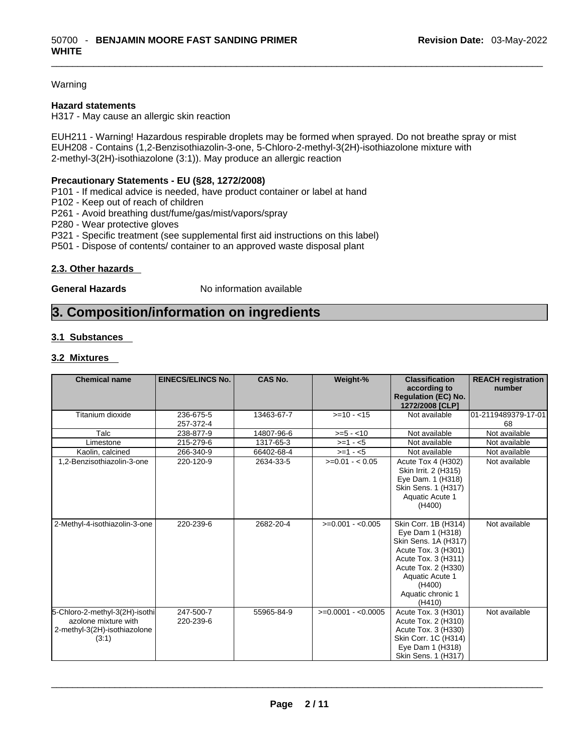#### Warning

#### **Hazard statements**

H317 - May cause an allergic skin reaction

EUH211 - Warning! Hazardous respirable droplets may be formed when sprayed. Do not breathe spray or mist EUH208 - Contains (1,2-Benzisothiazolin-3-one, 5-Chloro-2-methyl-3(2H)-isothiazolone mixture with 2-methyl-3(2H)-isothiazolone (3:1)). May produce an allergic reaction

#### **Precautionary Statements - EU (§28, 1272/2008)**

P101 - If medical advice is needed, have product container or label at hand

P102 - Keep out of reach of children

P261 - Avoid breathing dust/fume/gas/mist/vapors/spray

P280 - Wear protective gloves

P321 - Specific treatment (see supplemental first aid instructions on this label)

P501 - Dispose of contents/ container to an approved waste disposal plant

#### **2.3. Other hazards**

**General Hazards No information available** 

# **3. Composition/information on ingredients**

#### **3.1 Substances**

#### **3.2 Mixtures**

| <b>Chemical name</b>                                                                            | <b>EINECS/ELINCS No.</b> | <b>CAS No.</b> | Weight-%            | <b>Classification</b><br>according to<br><b>Requlation (EC) No.</b><br>1272/2008 [CLP]                                                                                                            | <b>REACH registration</b><br>number |
|-------------------------------------------------------------------------------------------------|--------------------------|----------------|---------------------|---------------------------------------------------------------------------------------------------------------------------------------------------------------------------------------------------|-------------------------------------|
| Titanium dioxide                                                                                | 236-675-5<br>257-372-4   | 13463-67-7     | $>=10 - 15$         | Not available                                                                                                                                                                                     | 01-2119489379-17-01<br>68           |
| Talc                                                                                            | 238-877-9                | 14807-96-6     | $>= 5 - 10$         | Not available                                                                                                                                                                                     | Not available                       |
| Limestone                                                                                       | 215-279-6                | 1317-65-3      | $>=1 - 5$           | Not available                                                                                                                                                                                     | Not available                       |
| Kaolin, calcined                                                                                | 266-340-9                | 66402-68-4     | $>=1 - 5$           | Not available                                                                                                                                                                                     | Not available                       |
| 1,2-Benzisothiazolin-3-one                                                                      | 220-120-9                | 2634-33-5      | $>=0.01 - 0.05$     | Acute Tox 4 (H302)<br>Skin Irrit. 2 (H315)<br>Eye Dam. 1 (H318)<br>Skin Sens. 1 (H317)<br>Aquatic Acute 1<br>(H400)                                                                               | Not available                       |
| 2-Methyl-4-isothiazolin-3-one                                                                   | 220-239-6                | 2682-20-4      | $>=0.001 - 0.005$   | Skin Corr. 1B (H314)<br>Eye Dam 1 (H318)<br>Skin Sens. 1A (H317)<br>Acute Tox. 3 (H301)<br>Acute Tox. 3 (H311)<br>Acute Tox. 2 (H330)<br>Aquatic Acute 1<br>(H400)<br>Aquatic chronic 1<br>(H410) | Not available                       |
| 5-Chloro-2-methyl-3(2H)-isothi<br>azolone mixture with<br>2-methyl-3(2H)-isothiazolone<br>(3:1) | 247-500-7<br>220-239-6   | 55965-84-9     | $>=0.0001 - 0.0005$ | Acute Tox. 3 (H301)<br>Acute Tox. 2 (H310)<br>Acute Tox. 3 (H330)<br>Skin Corr. 1C (H314)<br>Eye Dam 1 (H318)<br>Skin Sens. 1 (H317)                                                              | Not available                       |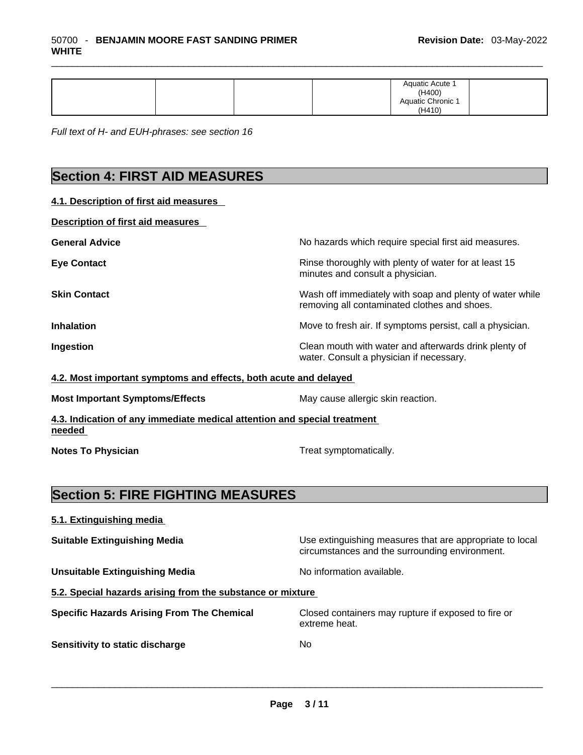| (H410) |
|--------|
|--------|

*Full text of H- and EUH-phrases: see section 16* 

# **Section 4: FIRST AID MEASURES**

**4.1. Description of first aid measures** 

| <b>Description of first aid measures</b> |                                                                                                          |
|------------------------------------------|----------------------------------------------------------------------------------------------------------|
| <b>General Advice</b>                    | No hazards which require special first aid measures.                                                     |
| <b>Eye Contact</b>                       | Rinse thoroughly with plenty of water for at least 15<br>minutes and consult a physician.                |
| <b>Skin Contact</b>                      | Wash off immediately with soap and plenty of water while<br>removing all contaminated clothes and shoes. |
| <b>Inhalation</b>                        | Move to fresh air. If symptoms persist, call a physician.                                                |
| Ingestion                                | Clean mouth with water and afterwards drink plenty of<br>water. Consult a physician if necessary.        |

**Most Important Symptoms/Effects** May cause allergic skin reaction.

**4.3. Indication of any immediate medical attention and special treatment needed** 

**Notes To Physician** Motes To Physician Treat symptomatically.

# **Section 5: FIRE FIGHTING MEASURES**

| 5.1. Extinguishing media                                   |                                                                                                            |
|------------------------------------------------------------|------------------------------------------------------------------------------------------------------------|
| <b>Suitable Extinguishing Media</b>                        | Use extinguishing measures that are appropriate to local<br>circumstances and the surrounding environment. |
| <b>Unsuitable Extinguishing Media</b>                      | No information available.                                                                                  |
| 5.2. Special hazards arising from the substance or mixture |                                                                                                            |
| <b>Specific Hazards Arising From The Chemical</b>          | Closed containers may rupture if exposed to fire or<br>extreme heat.                                       |
| Sensitivity to static discharge                            | No                                                                                                         |
|                                                            |                                                                                                            |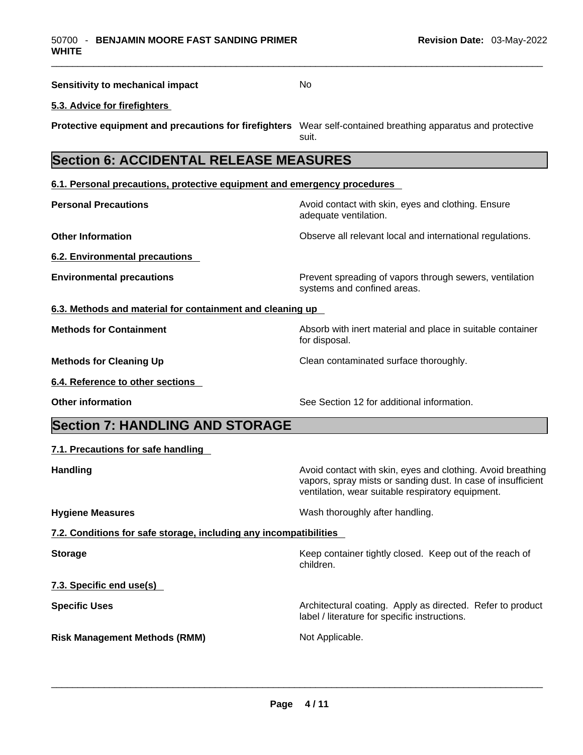| <b>Sensitivity to mechanical impact</b>                                                                      | No                                                                                                                                                                               |
|--------------------------------------------------------------------------------------------------------------|----------------------------------------------------------------------------------------------------------------------------------------------------------------------------------|
| 5.3. Advice for firefighters                                                                                 |                                                                                                                                                                                  |
| Protective equipment and precautions for firefighters Wear self-contained breathing apparatus and protective | suit.                                                                                                                                                                            |
| <b>Section 6: ACCIDENTAL RELEASE MEASURES</b>                                                                |                                                                                                                                                                                  |
| 6.1. Personal precautions, protective equipment and emergency procedures                                     |                                                                                                                                                                                  |
| <b>Personal Precautions</b>                                                                                  | Avoid contact with skin, eyes and clothing. Ensure<br>adequate ventilation.                                                                                                      |
| <b>Other Information</b>                                                                                     | Observe all relevant local and international regulations.                                                                                                                        |
| 6.2. Environmental precautions                                                                               |                                                                                                                                                                                  |
| <b>Environmental precautions</b>                                                                             | Prevent spreading of vapors through sewers, ventilation<br>systems and confined areas.                                                                                           |
| 6.3. Methods and material for containment and cleaning up                                                    |                                                                                                                                                                                  |
| <b>Methods for Containment</b>                                                                               | Absorb with inert material and place in suitable container<br>for disposal.                                                                                                      |
| <b>Methods for Cleaning Up</b>                                                                               | Clean contaminated surface thoroughly.                                                                                                                                           |
| 6.4. Reference to other sections                                                                             |                                                                                                                                                                                  |
| <b>Other information</b>                                                                                     | See Section 12 for additional information.                                                                                                                                       |
| <b>Section 7: HANDLING AND STORAGE</b>                                                                       |                                                                                                                                                                                  |
| 7.1. Precautions for safe handling                                                                           |                                                                                                                                                                                  |
| <b>Handling</b>                                                                                              | Avoid contact with skin, eyes and clothing. Avoid breathing<br>vapors, spray mists or sanding dust. In case of insufficient<br>ventilation, wear suitable respiratory equipment. |
| <b>Hygiene Measures</b>                                                                                      | Wash thoroughly after handling.                                                                                                                                                  |
| 7.2. Conditions for safe storage, including any incompatibilities                                            |                                                                                                                                                                                  |
| <b>Storage</b>                                                                                               | Keep container tightly closed. Keep out of the reach of<br>children.                                                                                                             |
| 7.3. Specific end use(s)                                                                                     |                                                                                                                                                                                  |
| <b>Specific Uses</b>                                                                                         | Architectural coating. Apply as directed. Refer to product<br>label / literature for specific instructions.                                                                      |
| <b>Risk Management Methods (RMM)</b>                                                                         | Not Applicable.                                                                                                                                                                  |
|                                                                                                              |                                                                                                                                                                                  |
|                                                                                                              |                                                                                                                                                                                  |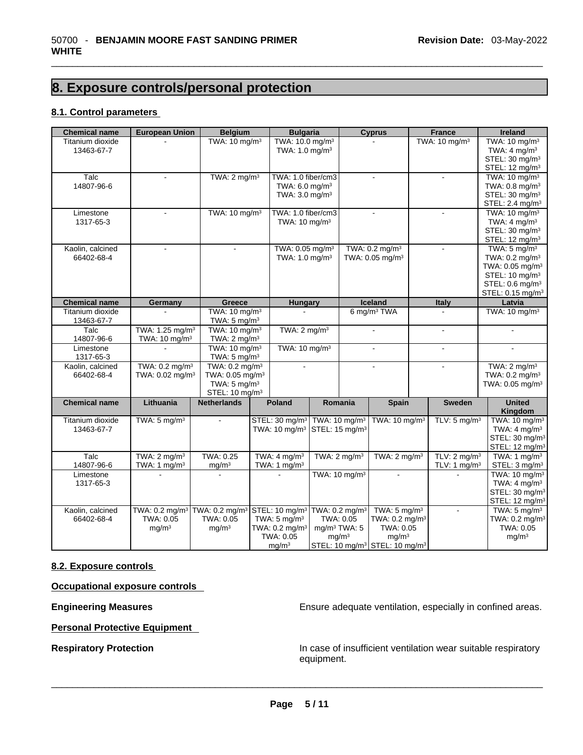# **8. Exposure controls/personal protection**

#### **8.1. Control parameters**

| <b>Chemical name</b> | <b>European Union</b>                                                            | <b>Belgium</b>              | <b>Bulgaria</b>             |                            |                            | <b>Cyprus</b>                                         | <b>France</b>             | Ireland                      |
|----------------------|----------------------------------------------------------------------------------|-----------------------------|-----------------------------|----------------------------|----------------------------|-------------------------------------------------------|---------------------------|------------------------------|
| Titanium dioxide     |                                                                                  | TWA: 10 mg/m <sup>3</sup>   | TWA: 10.0 mg/m <sup>3</sup> |                            |                            |                                                       | TWA: 10 mg/m <sup>3</sup> | TWA: 10 mg/m <sup>3</sup>    |
| 13463-67-7           |                                                                                  |                             | TWA: 1.0 mg/m <sup>3</sup>  |                            |                            |                                                       |                           | TWA: $4 \text{ mg/m}^3$      |
|                      |                                                                                  |                             |                             |                            |                            |                                                       |                           | STEL: 30 mg/m <sup>3</sup>   |
|                      |                                                                                  |                             |                             |                            |                            |                                                       |                           | STEL: 12 mg/m <sup>3</sup>   |
| Talc                 |                                                                                  | TWA: $2 \text{ mg/m}^3$     | TWA: 1.0 fiber/cm3          |                            |                            |                                                       |                           | TWA: 10 mg/m <sup>3</sup>    |
| 14807-96-6           |                                                                                  |                             | TWA: 6.0 mg/m <sup>3</sup>  |                            |                            |                                                       |                           | TWA: 0.8 mg/m <sup>3</sup>   |
|                      |                                                                                  |                             | TWA: 3.0 mg/m <sup>3</sup>  |                            |                            |                                                       |                           | STEL: 30 mg/m <sup>3</sup>   |
|                      |                                                                                  |                             |                             |                            |                            |                                                       |                           | STEL: 2.4 mg/m <sup>3</sup>  |
| Limestone            |                                                                                  | TWA: 10 mg/m <sup>3</sup>   | TWA: 1.0 fiber/cm3          |                            |                            |                                                       |                           | TWA: 10 mg/m <sup>3</sup>    |
| 1317-65-3            |                                                                                  |                             | TWA: $10 \text{ mg/m}^3$    |                            |                            |                                                       |                           | TWA: $4 \text{ mg/m}^3$      |
|                      |                                                                                  |                             |                             |                            |                            |                                                       |                           | STEL: 30 mg/m <sup>3</sup>   |
|                      |                                                                                  |                             |                             |                            |                            |                                                       |                           | STEL: 12 mg/m <sup>3</sup>   |
| Kaolin, calcined     | $\mathbf{r}$                                                                     | $\mathbf{r}$                | TWA: 0.05 mg/m <sup>3</sup> |                            |                            | TWA: 0.2 mg/m <sup>3</sup>                            | $\overline{a}$            | TWA: $5 \text{ mg/m}^3$      |
| 66402-68-4           |                                                                                  |                             | TWA: 1.0 mg/m <sup>3</sup>  |                            |                            | TWA: 0.05 mg/m <sup>3</sup>                           |                           | TWA: 0.2 mg/m <sup>3</sup>   |
|                      |                                                                                  |                             |                             |                            |                            |                                                       |                           | TWA: 0.05 mg/m <sup>3</sup>  |
|                      |                                                                                  |                             |                             |                            |                            |                                                       |                           | STEL: 10 mg/m <sup>3</sup>   |
|                      |                                                                                  |                             |                             |                            |                            |                                                       |                           | STEL: 0.6 mg/m <sup>3</sup>  |
|                      |                                                                                  |                             |                             |                            |                            |                                                       |                           | STEL: 0.15 mg/m <sup>3</sup> |
| <b>Chemical name</b> | Germany                                                                          | Greece                      | Hungary                     |                            |                            | Iceland                                               | Italy                     | Latvia                       |
| Titanium dioxide     |                                                                                  | TWA: 10 mg/m <sup>3</sup>   |                             |                            |                            | 6 mg/m <sup>3</sup> TWA                               |                           | TWA: 10 mg/m <sup>3</sup>    |
| 13463-67-7           |                                                                                  | TWA: $5 \text{ mg/m}^3$     |                             |                            |                            |                                                       |                           |                              |
| Talc                 | TWA: 1.25 mg/m <sup>3</sup>                                                      | TWA: 10 mg/m <sup>3</sup>   | TWA: $2 \text{ mg/m}^3$     |                            |                            |                                                       |                           |                              |
| 14807-96-6           | TWA: 10 mg/m <sup>3</sup>                                                        | TWA: $2 \text{ mg/m}^3$     |                             |                            |                            |                                                       |                           |                              |
| Limestone            |                                                                                  | TWA: 10 mg/m <sup>3</sup>   | TWA: $10 \text{ mg/m}^3$    |                            |                            | $\blacksquare$                                        | $\mathbf{r}$              | $\overline{a}$               |
| 1317-65-3            |                                                                                  | TWA: $5 \text{ mg/m}^3$     |                             |                            |                            |                                                       |                           |                              |
| Kaolin, calcined     | TWA: 0.2 mg/m <sup>3</sup>                                                       | TWA: 0.2 mg/m <sup>3</sup>  |                             |                            |                            | ÷.                                                    | $\overline{a}$            | TWA: $2 \text{ mg/m}^3$      |
| 66402-68-4           | TWA: 0.02 mg/m <sup>3</sup>                                                      | TWA: 0.05 mg/m <sup>3</sup> |                             |                            |                            |                                                       |                           | TWA: 0.2 mg/m <sup>3</sup>   |
|                      |                                                                                  | TWA: $5 \text{ mg/m}^3$     |                             |                            |                            |                                                       |                           | TWA: 0.05 mg/m <sup>3</sup>  |
|                      |                                                                                  | STEL: 10 mg/m <sup>3</sup>  |                             |                            |                            |                                                       |                           |                              |
| <b>Chemical name</b> | Lithuania                                                                        | <b>Netherlands</b>          | <b>Poland</b>               |                            | Romania                    | <b>Spain</b>                                          | <b>Sweden</b>             | <b>United</b>                |
|                      |                                                                                  |                             |                             |                            |                            |                                                       |                           | Kingdom                      |
| Titanium dioxide     | TWA: $5 \text{ mg/m}^3$                                                          |                             | STEL: 30 mg/m <sup>3</sup>  |                            | TWA: 10 mg/m <sup>3</sup>  | TWA: 10 mg/m <sup>3</sup>                             | TLV: $5 \text{ mg/m}^3$   | TWA: 10 mg/m <sup>3</sup>    |
| 13463-67-7           |                                                                                  |                             | TWA: 10 mg/m <sup>3</sup>   | STEL: 15 mg/m <sup>3</sup> |                            |                                                       |                           | TWA: $4 \text{ mg/m}^3$      |
|                      |                                                                                  |                             |                             |                            |                            |                                                       |                           | STEL: 30 mg/m <sup>3</sup>   |
|                      |                                                                                  |                             |                             |                            |                            |                                                       |                           | STEL: 12 mg/m <sup>3</sup>   |
| Talc                 | TWA: $2 \text{ mg/m}^3$                                                          | TWA: 0.25                   | TWA: $4 \text{ mg/m}^3$     |                            | TWA: $2 \text{ mg/m}^3$    | TWA: $2 \text{ mg/m}^3$                               | TLV: $2 \text{ mg/m}^3$   | TWA: $1 \text{ mg/m}^3$      |
| 14807-96-6           | TWA: $1 \text{ mg/m}^3$                                                          | mg/m <sup>3</sup>           | TWA: 1 $mg/m3$              |                            |                            |                                                       | TLV: 1 $mg/m3$            | STEL: 3 mg/m <sup>3</sup>    |
| Limestone            |                                                                                  |                             |                             |                            | TWA: 10 mg/m <sup>3</sup>  | $\overline{a}$                                        |                           | TWA: 10 mg/m <sup>3</sup>    |
| 1317-65-3            |                                                                                  |                             |                             |                            |                            |                                                       |                           | TWA: $4 \text{ mg/m}^3$      |
|                      |                                                                                  |                             |                             |                            |                            |                                                       |                           | STEL: 30 mg/m <sup>3</sup>   |
|                      |                                                                                  |                             |                             |                            |                            |                                                       |                           | STEL: 12 mg/m <sup>3</sup>   |
|                      |                                                                                  |                             |                             |                            |                            | TWA: $5 \text{ mg/m}^3$                               |                           | TWA: $5 \text{ mg/m}^3$      |
| Kaolin, calcined     | TWA: 0.2 mg/m <sup>3</sup> TWA: 0.2 mg/m <sup>3</sup> STEL: 10 mg/m <sup>3</sup> |                             |                             |                            | TWA: 0.2 mg/m <sup>3</sup> |                                                       |                           |                              |
| 66402-68-4           | TWA: 0.05                                                                        | TWA: 0.05                   | TWA: $5 \text{ mg/m}^3$     |                            | TWA: 0.05                  | TWA: 0.2 mg/m <sup>3</sup>                            |                           | TWA: 0.2 mg/m <sup>3</sup>   |
|                      | mg/m <sup>3</sup>                                                                | mq/m <sup>3</sup>           | TWA: 0.2 mg/m <sup>3</sup>  |                            | mg/m <sup>3</sup> TWA: 5   | TWA: 0.05                                             |                           | TWA: 0.05                    |
|                      |                                                                                  |                             | TWA: 0.05                   |                            | mg/m <sup>3</sup>          | mg/m <sup>3</sup>                                     |                           | mg/m <sup>3</sup>            |
|                      |                                                                                  |                             | mg/m <sup>3</sup>           |                            |                            | STEL: 10 mg/m <sup>3</sup> STEL: 10 mg/m <sup>3</sup> |                           |                              |

#### **8.2. Exposure controls**

**Occupational exposure controls** 

**Personal Protective Equipment** 

**Engineering Measures Ensure 2018** Ensure adequate ventilation, especially in confined areas.

**Respiratory Protection**<br> **Respiratory Protection**<br> **In case of insufficient ventilation wear suitable respiratory**<br> **In case of insufficient ventilation wear suitable respiratory** equipment. \_\_\_\_\_\_\_\_\_\_\_\_\_\_\_\_\_\_\_\_\_\_\_\_\_\_\_\_\_\_\_\_\_\_\_\_\_\_\_\_\_\_\_\_\_\_\_\_\_\_\_\_\_\_\_\_\_\_\_\_\_\_\_\_\_\_\_\_\_\_\_\_\_\_\_\_\_\_\_\_\_\_\_\_\_\_\_\_\_\_\_\_\_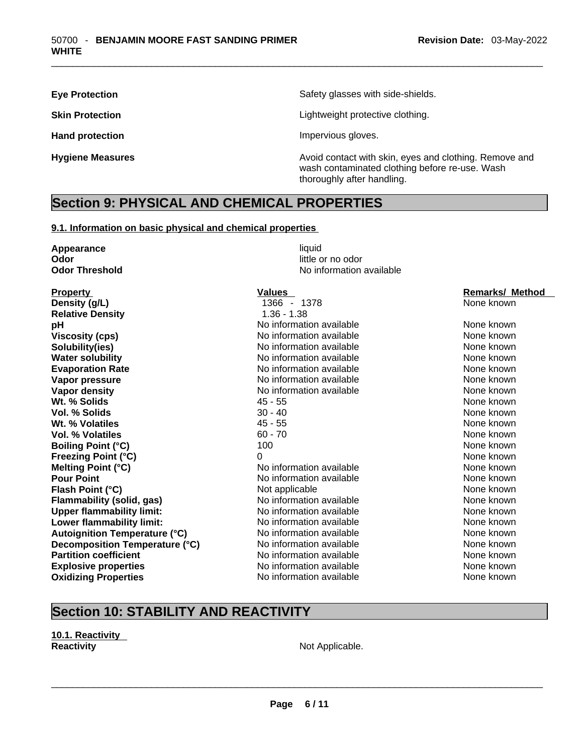**Eye Protection Eye Protection Safety glasses with side-shields.** 

**Skin Protection Contract Contract Extending Contract Contract Lightweight protective clothing.** 

Hand protection **Impervious** gloves.

**Hygiene Measures Avoid contact with skin, eyes and clothing. Remove and Avoid contact with skin, eyes and clothing. Remove and Avoid contact with skin, eyes and clothing. Remove and** wash contaminated clothing before re-use. Wash thoroughly after handling.

### **Section 9: PHYSICAL AND CHEMICAL PROPERTIES**

#### **9.1. Information on basic physical and chemical properties**

| Appearance                                         | liquid                   |                        |
|----------------------------------------------------|--------------------------|------------------------|
| Odor                                               | little or no odor        |                        |
| <b>Odor Threshold</b>                              | No information available |                        |
|                                                    | <b>Values</b>            | <b>Remarks/ Method</b> |
| <b>Property</b><br>Density (g/L)                   | 1366 - 1378              | None known             |
| <b>Relative Density</b>                            | $1.36 - 1.38$            |                        |
|                                                    | No information available | None known             |
| pH                                                 | No information available | None known             |
| <b>Viscosity (cps)</b><br>Solubility(ies)          | No information available | None known             |
|                                                    | No information available | None known             |
| <b>Water solubility</b><br><b>Evaporation Rate</b> | No information available | None known             |
| Vapor pressure                                     | No information available | None known             |
|                                                    | No information available | None known             |
| <b>Vapor density</b><br>Wt. % Solids               |                          | None known             |
|                                                    | $45 - 55$                | None known             |
| Vol. % Solids                                      | $30 - 40$<br>$45 - 55$   | None known             |
| Wt. % Volatiles                                    |                          |                        |
| Vol. % Volatiles                                   | $60 - 70$                | None known             |
| <b>Boiling Point (°C)</b>                          | 100                      | None known             |
| <b>Freezing Point (°C)</b>                         | $\Omega$                 | None known             |
| <b>Melting Point (°C)</b>                          | No information available | None known             |
| <b>Pour Point</b>                                  | No information available | None known             |
| Flash Point (°C)                                   | Not applicable           | None known             |
| <b>Flammability (solid, gas)</b>                   | No information available | None known             |
| <b>Upper flammability limit:</b>                   | No information available | None known             |
| Lower flammability limit:                          | No information available | None known             |
| <b>Autoignition Temperature (°C)</b>               | No information available | None known             |
| Decomposition Temperature (°C)                     | No information available | None known             |
| <b>Partition coefficient</b>                       | No information available | None known             |
| <b>Explosive properties</b>                        | No information available | None known             |
| <b>Oxidizing Properties</b>                        | No information available | None known             |
|                                                    |                          |                        |

# **Section 10: STABILITY AND REACTIVITY**

**10.1. Reactivity Reactivity Not Applicable.**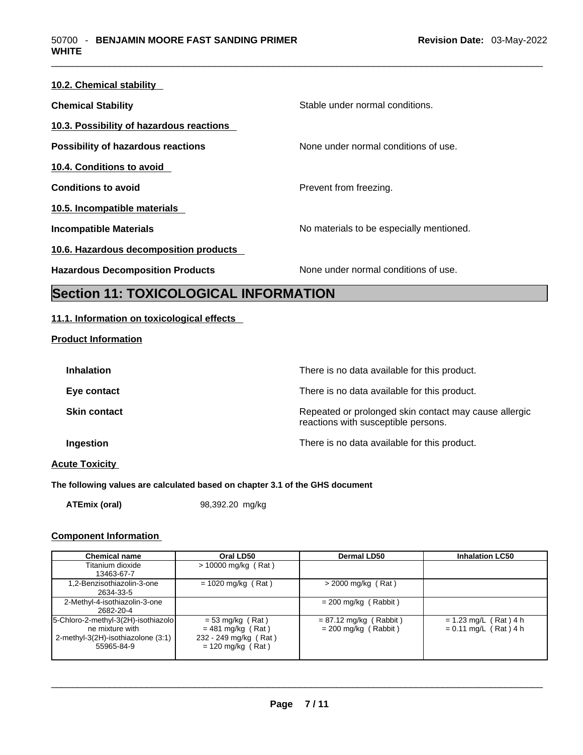| 10.2. Chemical stability                  |                                          |
|-------------------------------------------|------------------------------------------|
| <b>Chemical Stability</b>                 | Stable under normal conditions.          |
| 10.3. Possibility of hazardous reactions  |                                          |
| <b>Possibility of hazardous reactions</b> | None under normal conditions of use.     |
| 10.4. Conditions to avoid                 |                                          |
| <b>Conditions to avoid</b>                | Prevent from freezing.                   |
| 10.5. Incompatible materials              |                                          |
| <b>Incompatible Materials</b>             | No materials to be especially mentioned. |
| 10.6. Hazardous decomposition products    |                                          |
| <b>Hazardous Decomposition Products</b>   | None under normal conditions of use.     |

### **Section 11: TOXICOLOGICAL INFORMATION**

#### **11.1. Information on toxicological effects**

#### **Product Information**

| <b>Inhalation</b>     | There is no data available for this product.                                                 |
|-----------------------|----------------------------------------------------------------------------------------------|
| Eye contact           | There is no data available for this product.                                                 |
| <b>Skin contact</b>   | Repeated or prolonged skin contact may cause allergic<br>reactions with susceptible persons. |
| Ingestion             | There is no data available for this product.                                                 |
| <b>Acute Toxicity</b> |                                                                                              |

#### **The following values are calculated based on chapter 3.1 of the GHS document**

**ATEmix (oral)** 98,392.20 mg/kg

#### **Component Information**

| <b>Chemical name</b>                | Oral LD50             | <b>Dermal LD50</b>       | <b>Inhalation LC50</b>  |
|-------------------------------------|-----------------------|--------------------------|-------------------------|
| Titanium dioxide                    | $> 10000$ mg/kg (Rat) |                          |                         |
| 13463-67-7                          |                       |                          |                         |
| 1,2-Benzisothiazolin-3-one          | $= 1020$ mg/kg (Rat)  | $>$ 2000 mg/kg (Rat)     |                         |
| 2634-33-5                           |                       |                          |                         |
| 2-Methyl-4-isothiazolin-3-one       |                       | $= 200$ mg/kg (Rabbit)   |                         |
| 2682-20-4                           |                       |                          |                         |
| 5-Chloro-2-methyl-3(2H)-isothiazolo | $= 53$ mg/kg (Rat)    | $= 87.12$ mg/kg (Rabbit) | $= 1.23$ mg/L (Rat) 4 h |
| ne mixture with                     | $= 481$ mg/kg (Rat)   | $= 200$ mg/kg (Rabbit)   | $= 0.11$ mg/L (Rat) 4 h |
| 2-methyl-3(2H)-isothiazolone (3:1)  | 232 - 249 mg/kg (Rat) |                          |                         |
| 55965-84-9                          | $= 120$ mg/kg (Rat)   |                          |                         |
|                                     |                       |                          |                         |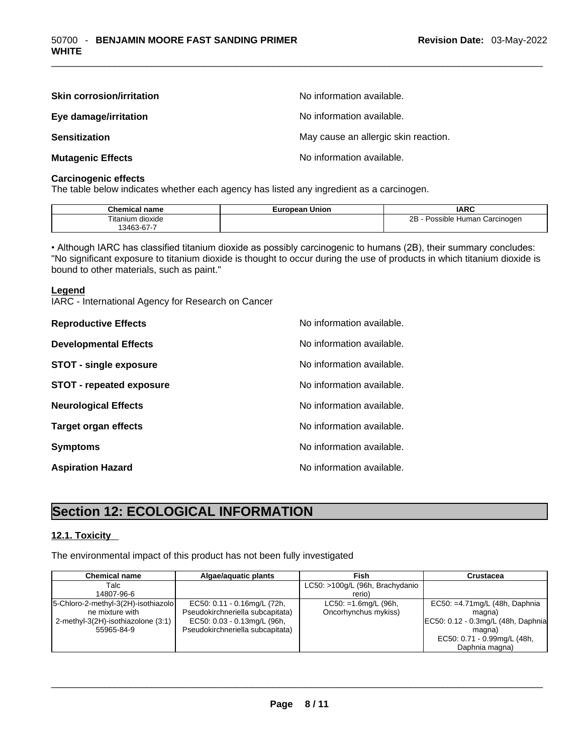| <b>Skin corrosion/irritation</b> | No information available.            |
|----------------------------------|--------------------------------------|
| Eye damage/irritation            | No information available.            |
| <b>Sensitization</b>             | May cause an allergic skin reaction. |
| <b>Mutagenic Effects</b>         | No information available.            |

#### **Carcinogenic effects**

The table below indicates whether each agency has listed any ingredient as a carcinogen.

| <b>Chemical name</b>      | - -<br><b>Union</b> | <b>IARC</b>                         |
|---------------------------|---------------------|-------------------------------------|
| $-$<br>dioxide<br>ïtanium |                     | 2В<br>Possible Human<br>⊦Carcinoɑen |
| $13463 - 67 - 6$          |                     |                                     |

• Although IARC has classified titanium dioxide as possibly carcinogenic to humans (2B), their summary concludes: "No significant exposure to titanium dioxide is thought to occur during the use of products in which titanium dioxide is bound to other materials, such as paint."

#### **Legend**

IARC - International Agency for Research on Cancer

| <b>Reproductive Effects</b>     | No information available. |
|---------------------------------|---------------------------|
| <b>Developmental Effects</b>    | No information available. |
| <b>STOT - single exposure</b>   | No information available. |
| <b>STOT - repeated exposure</b> | No information available. |
| <b>Neurological Effects</b>     | No information available. |
| <b>Target organ effects</b>     | No information available. |
| <b>Symptoms</b>                 | No information available. |
| <b>Aspiration Hazard</b>        | No information available. |

# **Section 12: ECOLOGICAL INFORMATION**

#### **12.1. Toxicity**

The environmental impact of this product has not been fully investigated

| <b>Chemical name</b>                | Algae/aguatic plants             | Fish                            | Crustacea                           |
|-------------------------------------|----------------------------------|---------------------------------|-------------------------------------|
| Talc                                |                                  | LC50: >100g/L (96h, Brachydanio |                                     |
| 14807-96-6                          |                                  | rerio)                          |                                     |
| 5-Chloro-2-methyl-3(2H)-isothiazolo | EC50: 0.11 - 0.16mg/L (72h,      | $LC50: = 1.6$ mg/L (96h,        | EC50: $=4.71$ mg/L (48h, Daphnia    |
| ne mixture with                     | Pseudokirchneriella subcapitata) | Oncorhynchus mykiss)            | magna)                              |
| 2-methyl-3(2H)-isothiazolone (3:1)  | EC50: 0.03 - 0.13mg/L (96h,      |                                 | EC50: 0.12 - 0.3mg/L (48h, Daphnia) |
| 55965-84-9                          | Pseudokirchneriella subcapitata) |                                 | magna)                              |
|                                     |                                  |                                 | EC50: 0.71 - 0.99mg/L (48h,         |
|                                     |                                  |                                 | Daphnia magna)                      |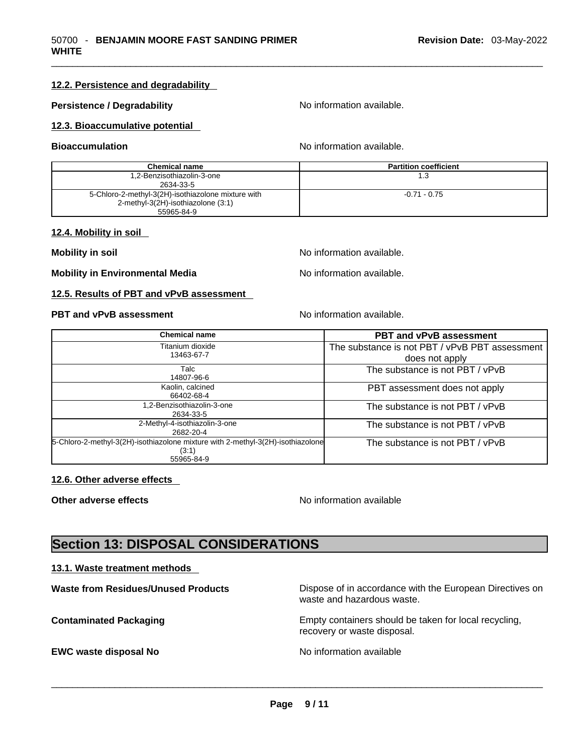#### **12.2. Persistence and degradability**

#### **Persistence / Degradability No information available.**

#### **12.3. Bioaccumulative potential**

**Bioaccumulation No information available.** No information available.

| <b>Chemical name</b>                               | <b>Partition coefficient</b> |
|----------------------------------------------------|------------------------------|
| 1,2-Benzisothiazolin-3-one                         | 1.3                          |
| 2634-33-5                                          |                              |
| 5-Chloro-2-methyl-3(2H)-isothiazolone mixture with | $-0.71 - 0.75$               |
| 2-methyl-3(2H)-isothiazolone (3:1)                 |                              |
| 55965-84-9                                         |                              |

#### **12.4. Mobility in soil**

**Mobility** in soil **Mobility** in soil

**Mobility in Environmental Media** Noinformation available.

#### **12.5. Results of PBT and vPvB assessment**

**PBT** and **vPvB** assessment No information available.

| <b>Chemical name</b>                                                                                   | <b>PBT and vPvB assessment</b>                                   |
|--------------------------------------------------------------------------------------------------------|------------------------------------------------------------------|
| Titanium dioxide<br>13463-67-7                                                                         | The substance is not PBT / vPvB PBT assessment<br>does not apply |
| Talc<br>14807-96-6                                                                                     | The substance is not PBT / vPvB                                  |
| Kaolin, calcined<br>66402-68-4                                                                         | PBT assessment does not apply                                    |
| .2-Benzisothiazolin-3-one<br>2634-33-5                                                                 | The substance is not PBT / vPvB                                  |
| 2-Methyl-4-isothiazolin-3-one<br>2682-20-4                                                             | The substance is not PBT / vPvB                                  |
| 5-Chloro-2-methyl-3(2H)-isothiazolone mixture with 2-methyl-3(2H)-isothiazolone<br>(3:1)<br>55965-84-9 | The substance is not PBT / vPvB                                  |

#### **12.6. Other adverse effects**

**Other adverse effects No information available No information available** 

## **Section 13: DISPOSAL CONSIDERATIONS**

#### **13.1. Waste treatment methods**

| <b>Waste from Residues/Unused Products</b> | Dispose of in accordance with the European Directives on<br>waste and hazardous waste. |
|--------------------------------------------|----------------------------------------------------------------------------------------|
| <b>Contaminated Packaging</b>              | Empty containers should be taken for local recycling,<br>recovery or waste disposal.   |
| <b>EWC waste disposal No</b>               | No information available                                                               |
|                                            |                                                                                        |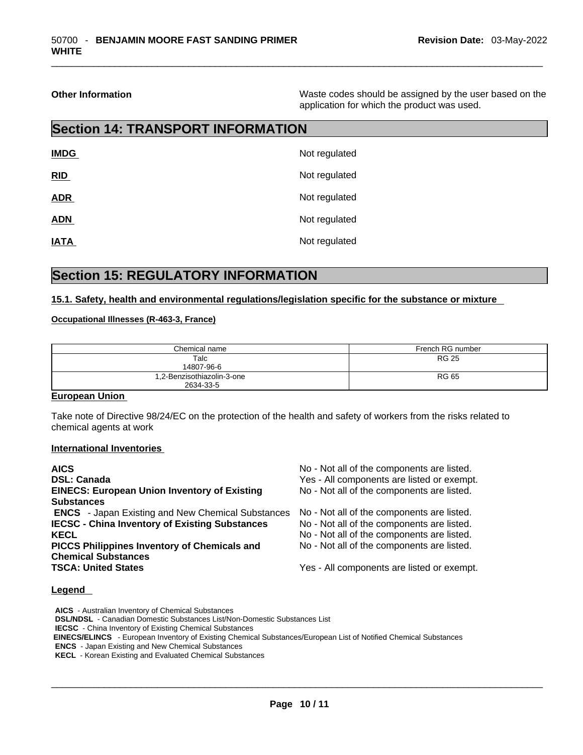**Other Information Other Information Intervellence in the Waste codes should be assigned by the user based on the** application for which the product was used.

# **Section 14: TRANSPORT INFORMATION**

| <b>IMDG</b> | Not regulated |
|-------------|---------------|
| RID         | Not regulated |
| <b>ADR</b>  | Not regulated |
| <b>ADN</b>  | Not regulated |
| <b>IATA</b> | Not regulated |

### **Section 15: REGULATORY INFORMATION**

#### **15.1. Safety, health and environmental regulations/legislation specific for the substance or mixture**

#### **Occupational Illnesses (R-463-3, France)**

| Chemical name                           | French RG number |
|-----------------------------------------|------------------|
| Talc<br>14807-96-6                      | <b>RG 25</b>     |
| 1,2-Benzisothiazolin-3-one<br>2634-33-5 | <b>RG 65</b>     |

#### **European Union**

Take note of Directive 98/24/EC on the protection of the health and safety of workers from the risks related to chemical agents at work

#### **International Inventories**

| <b>AICS</b><br><b>DSL: Canada</b>                        | No - Not all of the components are listed.<br>Yes - All components are listed or exempt. |
|----------------------------------------------------------|------------------------------------------------------------------------------------------|
| <b>EINECS: European Union Inventory of Existing</b>      | No - Not all of the components are listed.                                               |
| <b>Substances</b>                                        |                                                                                          |
| <b>ENCS</b> - Japan Existing and New Chemical Substances | No - Not all of the components are listed.                                               |
| <b>IECSC - China Inventory of Existing Substances</b>    | No - Not all of the components are listed.                                               |
| <b>KECL</b>                                              | No - Not all of the components are listed.                                               |
| <b>PICCS Philippines Inventory of Chemicals and</b>      | No - Not all of the components are listed.                                               |
| <b>Chemical Substances</b>                               |                                                                                          |
| <b>TSCA: United States</b>                               | Yes - All components are listed or exempt.                                               |
|                                                          |                                                                                          |

#### **Legend**

**AICS** - Australian Inventory of Chemical Substances **DSL/NDSL** - Canadian Domestic Substances List/Non-Domestic Substances List **IECSC** - China Inventory of Existing Chemical Substances  **EINECS/ELINCS** - European Inventory of Existing Chemical Substances/European List of Notified Chemical Substances **ENCS** - Japan Existing and New Chemical Substances **KECL** - Korean Existing and Evaluated Chemical Substances